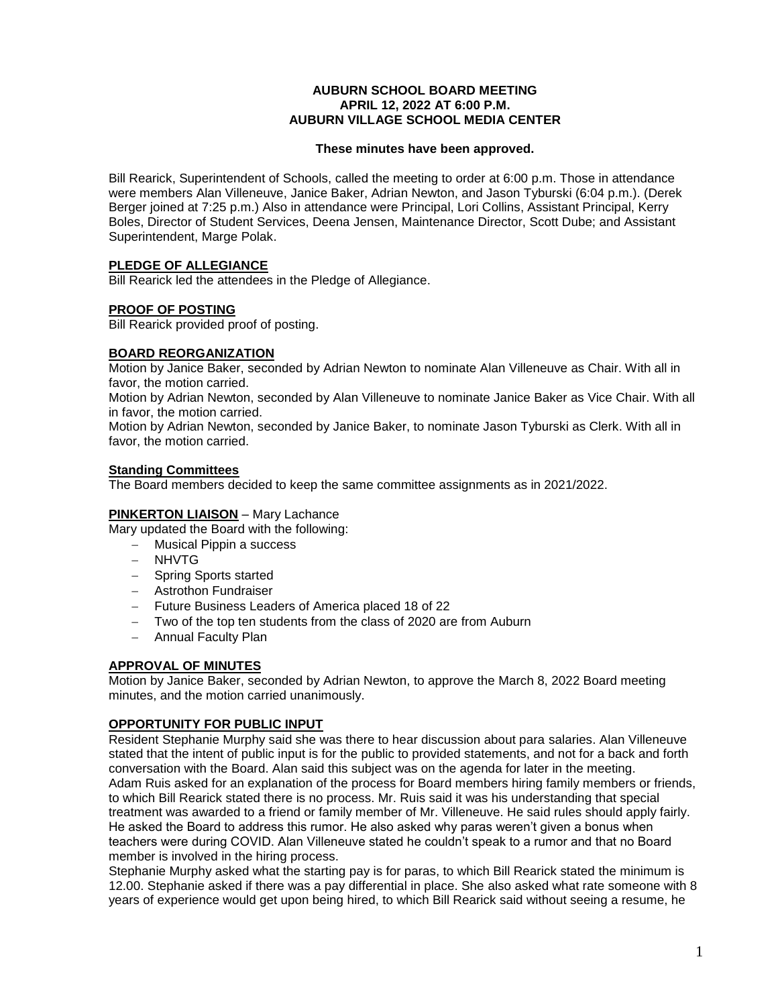### **AUBURN SCHOOL BOARD MEETING APRIL 12, 2022 AT 6:00 P.M. AUBURN VILLAGE SCHOOL MEDIA CENTER**

### **These minutes have been approved.**

Bill Rearick, Superintendent of Schools, called the meeting to order at 6:00 p.m. Those in attendance were members Alan Villeneuve, Janice Baker, Adrian Newton, and Jason Tyburski (6:04 p.m.). (Derek Berger joined at 7:25 p.m.) Also in attendance were Principal, Lori Collins, Assistant Principal, Kerry Boles, Director of Student Services, Deena Jensen, Maintenance Director, Scott Dube; and Assistant Superintendent, Marge Polak.

# **PLEDGE OF ALLEGIANCE**

Bill Rearick led the attendees in the Pledge of Allegiance.

# **PROOF OF POSTING**

Bill Rearick provided proof of posting.

### **BOARD REORGANIZATION**

Motion by Janice Baker, seconded by Adrian Newton to nominate Alan Villeneuve as Chair. With all in favor, the motion carried.

Motion by Adrian Newton, seconded by Alan Villeneuve to nominate Janice Baker as Vice Chair. With all in favor, the motion carried.

Motion by Adrian Newton, seconded by Janice Baker, to nominate Jason Tyburski as Clerk. With all in favor, the motion carried.

### **Standing Committees**

The Board members decided to keep the same committee assignments as in 2021/2022.

### **PINKERTON LIAISON** – Mary Lachance

Mary updated the Board with the following:

- Musical Pippin a success
- NHVTG
- Spring Sports started
- Astrothon Fundraiser
- Future Business Leaders of America placed 18 of 22
- Two of the top ten students from the class of 2020 are from Auburn
- Annual Faculty Plan

# **APPROVAL OF MINUTES**

Motion by Janice Baker, seconded by Adrian Newton, to approve the March 8, 2022 Board meeting minutes, and the motion carried unanimously.

### **OPPORTUNITY FOR PUBLIC INPUT**

Resident Stephanie Murphy said she was there to hear discussion about para salaries. Alan Villeneuve stated that the intent of public input is for the public to provided statements, and not for a back and forth conversation with the Board. Alan said this subject was on the agenda for later in the meeting. Adam Ruis asked for an explanation of the process for Board members hiring family members or friends, to which Bill Rearick stated there is no process. Mr. Ruis said it was his understanding that special treatment was awarded to a friend or family member of Mr. Villeneuve. He said rules should apply fairly. He asked the Board to address this rumor. He also asked why paras weren't given a bonus when teachers were during COVID. Alan Villeneuve stated he couldn't speak to a rumor and that no Board member is involved in the hiring process.

Stephanie Murphy asked what the starting pay is for paras, to which Bill Rearick stated the minimum is 12.00. Stephanie asked if there was a pay differential in place. She also asked what rate someone with 8 years of experience would get upon being hired, to which Bill Rearick said without seeing a resume, he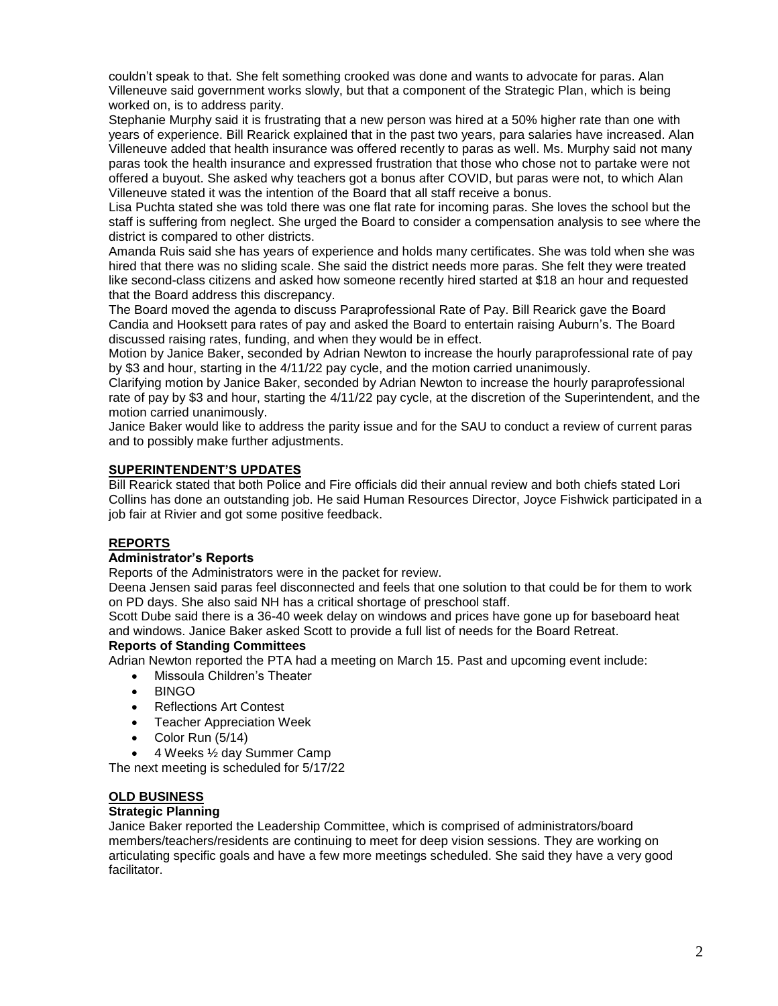couldn't speak to that. She felt something crooked was done and wants to advocate for paras. Alan Villeneuve said government works slowly, but that a component of the Strategic Plan, which is being worked on, is to address parity.

Stephanie Murphy said it is frustrating that a new person was hired at a 50% higher rate than one with years of experience. Bill Rearick explained that in the past two years, para salaries have increased. Alan Villeneuve added that health insurance was offered recently to paras as well. Ms. Murphy said not many paras took the health insurance and expressed frustration that those who chose not to partake were not offered a buyout. She asked why teachers got a bonus after COVID, but paras were not, to which Alan Villeneuve stated it was the intention of the Board that all staff receive a bonus.

Lisa Puchta stated she was told there was one flat rate for incoming paras. She loves the school but the staff is suffering from neglect. She urged the Board to consider a compensation analysis to see where the district is compared to other districts.

Amanda Ruis said she has years of experience and holds many certificates. She was told when she was hired that there was no sliding scale. She said the district needs more paras. She felt they were treated like second-class citizens and asked how someone recently hired started at \$18 an hour and requested that the Board address this discrepancy.

The Board moved the agenda to discuss Paraprofessional Rate of Pay. Bill Rearick gave the Board Candia and Hooksett para rates of pay and asked the Board to entertain raising Auburn's. The Board discussed raising rates, funding, and when they would be in effect.

Motion by Janice Baker, seconded by Adrian Newton to increase the hourly paraprofessional rate of pay by \$3 and hour, starting in the 4/11/22 pay cycle, and the motion carried unanimously.

Clarifying motion by Janice Baker, seconded by Adrian Newton to increase the hourly paraprofessional rate of pay by \$3 and hour, starting the 4/11/22 pay cycle, at the discretion of the Superintendent, and the motion carried unanimously.

Janice Baker would like to address the parity issue and for the SAU to conduct a review of current paras and to possibly make further adjustments.

### **SUPERINTENDENT'S UPDATES**

Bill Rearick stated that both Police and Fire officials did their annual review and both chiefs stated Lori Collins has done an outstanding job. He said Human Resources Director, Joyce Fishwick participated in a job fair at Rivier and got some positive feedback.

### **REPORTS**

### **Administrator's Reports**

Reports of the Administrators were in the packet for review.

Deena Jensen said paras feel disconnected and feels that one solution to that could be for them to work on PD days. She also said NH has a critical shortage of preschool staff.

Scott Dube said there is a 36-40 week delay on windows and prices have gone up for baseboard heat and windows. Janice Baker asked Scott to provide a full list of needs for the Board Retreat.

### **Reports of Standing Committees**

Adrian Newton reported the PTA had a meeting on March 15. Past and upcoming event include:

- Missoula Children's Theater
- BINGO
- Reflections Art Contest
- Teacher Appreciation Week
- Color Run (5/14)
- 4 Weeks ½ day Summer Camp

The next meeting is scheduled for 5/17/22

# **OLD BUSINESS**

# **Strategic Planning**

Janice Baker reported the Leadership Committee, which is comprised of administrators/board members/teachers/residents are continuing to meet for deep vision sessions. They are working on articulating specific goals and have a few more meetings scheduled. She said they have a very good facilitator.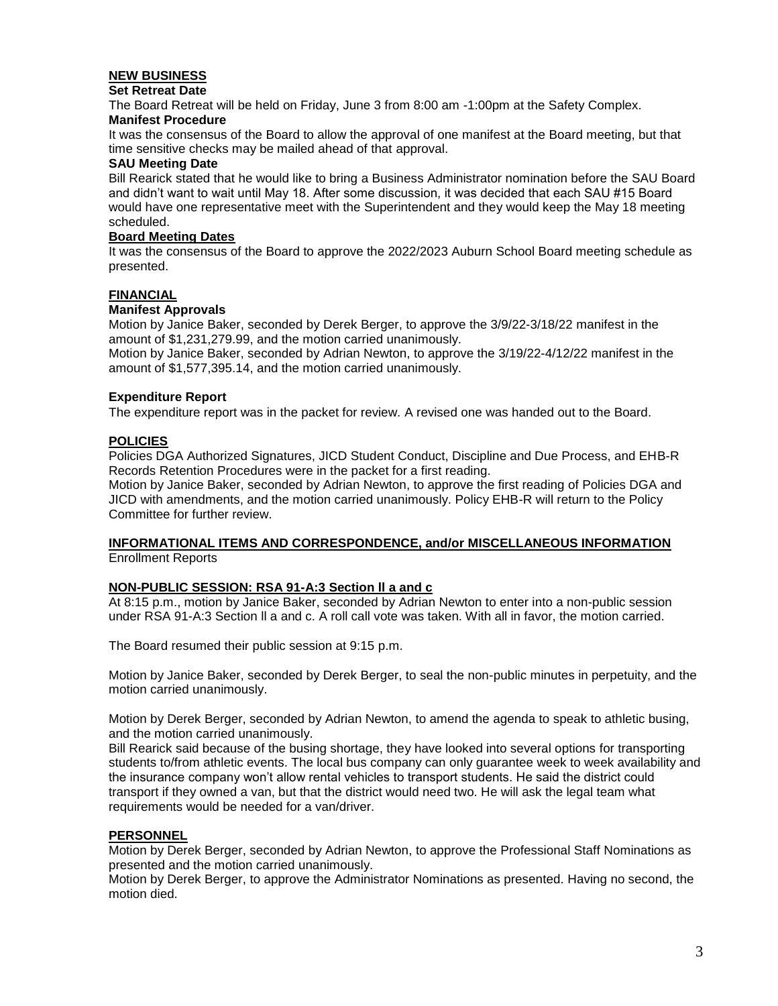### **NEW BUSINESS**

### **Set Retreat Date**

The Board Retreat will be held on Friday, June 3 from 8:00 am -1:00pm at the Safety Complex. **Manifest Procedure**

It was the consensus of the Board to allow the approval of one manifest at the Board meeting, but that time sensitive checks may be mailed ahead of that approval.

### **SAU Meeting Date**

Bill Rearick stated that he would like to bring a Business Administrator nomination before the SAU Board and didn't want to wait until May 18. After some discussion, it was decided that each SAU #15 Board would have one representative meet with the Superintendent and they would keep the May 18 meeting scheduled.

### **Board Meeting Dates**

It was the consensus of the Board to approve the 2022/2023 Auburn School Board meeting schedule as presented.

### **FINANCIAL**

### **Manifest Approvals**

Motion by Janice Baker, seconded by Derek Berger, to approve the 3/9/22-3/18/22 manifest in the amount of \$1,231,279.99, and the motion carried unanimously.

Motion by Janice Baker, seconded by Adrian Newton, to approve the 3/19/22-4/12/22 manifest in the amount of \$1,577,395.14, and the motion carried unanimously.

### **Expenditure Report**

The expenditure report was in the packet for review. A revised one was handed out to the Board.

### **POLICIES**

Policies DGA Authorized Signatures, JICD Student Conduct, Discipline and Due Process, and EHB-R Records Retention Procedures were in the packet for a first reading.

Motion by Janice Baker, seconded by Adrian Newton, to approve the first reading of Policies DGA and JICD with amendments, and the motion carried unanimously. Policy EHB-R will return to the Policy Committee for further review.

#### **INFORMATIONAL ITEMS AND CORRESPONDENCE, and/or MISCELLANEOUS INFORMATION** Enrollment Reports

### **NON-PUBLIC SESSION: RSA 91-A:3 Section ll a and c**

At 8:15 p.m., motion by Janice Baker, seconded by Adrian Newton to enter into a non-public session under RSA 91-A:3 Section ll a and c. A roll call vote was taken. With all in favor, the motion carried.

The Board resumed their public session at 9:15 p.m.

Motion by Janice Baker, seconded by Derek Berger, to seal the non-public minutes in perpetuity, and the motion carried unanimously.

Motion by Derek Berger, seconded by Adrian Newton, to amend the agenda to speak to athletic busing, and the motion carried unanimously.

Bill Rearick said because of the busing shortage, they have looked into several options for transporting students to/from athletic events. The local bus company can only guarantee week to week availability and the insurance company won't allow rental vehicles to transport students. He said the district could transport if they owned a van, but that the district would need two. He will ask the legal team what requirements would be needed for a van/driver.

### **PERSONNEL**

Motion by Derek Berger, seconded by Adrian Newton, to approve the Professional Staff Nominations as presented and the motion carried unanimously.

Motion by Derek Berger, to approve the Administrator Nominations as presented. Having no second, the motion died.